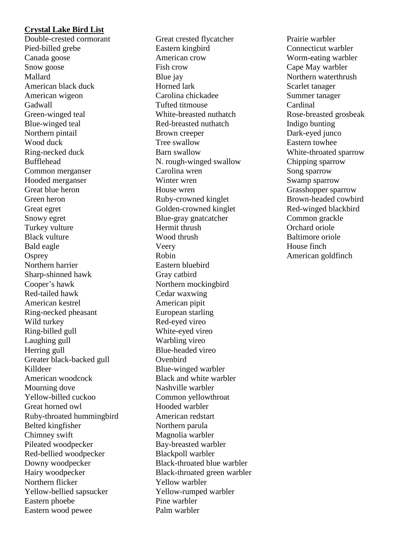# **Crystal Lake Bird List**

Double-crested cormorant Pied-billed grebe Canada goose Snow goose Mallard American black duck American wigeon **Gadwall** Green-winged teal Blue-winged teal Northern pintail Wood duck Ring-necked duck Bufflehead Common merganser Hooded merganser Great blue heron Green heron Great egret Snowy egret Turkey vulture Black vulture Bald eagle **Osprey** Northern harrier Sharp-shinned hawk Cooper's hawk Red-tailed hawk American kestrel Ring-necked pheasant Wild turkey Ring-billed gull Laughing gull Herring gull Greater black-backed gull Killdeer American woodcock Mourning dove Yellow-billed cuckoo Great horned owl Ruby-throated hummingbird Belted kingfisher Chimney swift Pileated woodpecker Red-bellied woodpecker Downy woodpecker Hairy woodpecker Northern flicker Yellow-bellied sapsucker Eastern phoebe Eastern wood pewee

Great crested flycatcher Eastern kingbird American crow Fish crow Blue jay Horned lark Carolina chickadee Tufted titmouse White-breasted nuthatch Red-breasted nuthatch Brown creeper Tree swallow Barn swallow N. rough-winged swallow Carolina wren Winter wren House wren Ruby-crowned kinglet Golden-crowned kinglet Blue-gray gnatcatcher Hermit thrush Wood thrush Veery Robin Eastern bluebird Gray catbird Northern mockingbird Cedar waxwing American pipit European starling Red-eyed vireo White-eyed vireo Warbling vireo Blue-headed vireo **Ovenbird** Blue-winged warbler Black and white warbler Nashville warbler Common yellowthroat Hooded warbler American redstart Northern parula Magnolia warbler Bay-breasted warbler Blackpoll warbler Black-throated blue warbler Black-throated green warbler Yellow warbler Yellow-rumped warbler Pine warbler Palm warbler

Prairie warbler Connecticut warbler Worm-eating warbler Cape May warbler Northern waterthrush Scarlet tanager Summer tanager Cardinal Rose-breasted grosbeak Indigo bunting Dark-eyed junco Eastern towhee White-throated sparrow Chipping sparrow Song sparrow Swamp sparrow Grasshopper sparrow Brown-headed cowbird Red-winged blackbird Common grackle Orchard oriole Baltimore oriole House finch American goldfinch